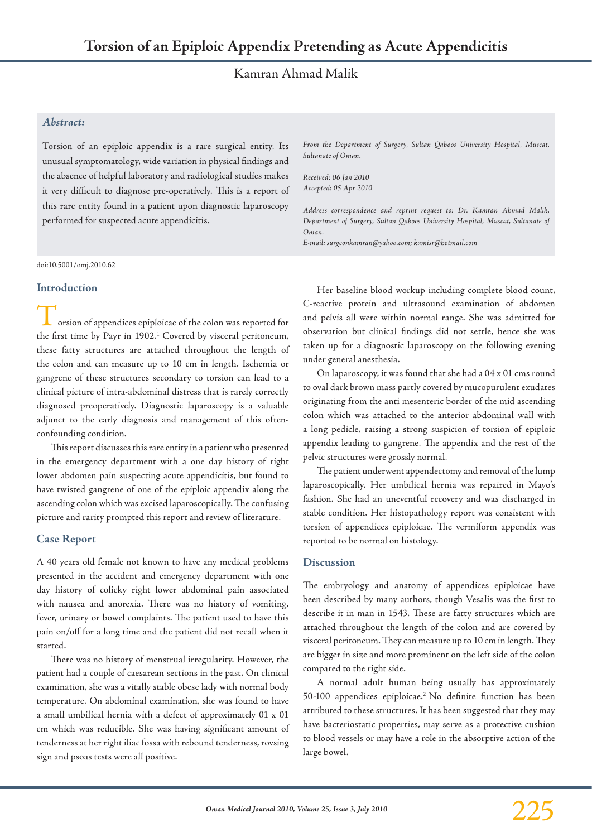# Kamran Ahmad Malik

# *Abstract:*

Torsion of an epiploic appendix is a rare surgical entity. Its unusual symptomatology, wide variation in physical findings and the absence of helpful laboratory and radiological studies makes it very difficult to diagnose pre-operatively. This is a report of this rare entity found in a patient upon diagnostic laparoscopy performed for suspected acute appendicitis.

doi:10.5001/omj.2010.62

#### **Introduction**

orsion of appendices epiploicae of the colon was reported for the first time by Payr in 1902.<sup>1</sup> Covered by visceral peritoneum, these fatty structures are attached throughout the length of the colon and can measure up to 10 cm in length. Ischemia or gangrene of these structures secondary to torsion can lead to a clinical picture of intra-abdominal distress that is rarely correctly diagnosed preoperatively. Diagnostic laparoscopy is a valuable adjunct to the early diagnosis and management of this oftenconfounding condition.

This report discusses this rare entity in a patient who presented in the emergency department with a one day history of right lower abdomen pain suspecting acute appendicitis, but found to have twisted gangrene of one of the epiploic appendix along the ascending colon which was excised laparoscopically. The confusing picture and rarity prompted this report and review of literature.

## **Case Report**

A 40 years old female not known to have any medical problems presented in the accident and emergency department with one day history of colicky right lower abdominal pain associated with nausea and anorexia. There was no history of vomiting, fever, urinary or bowel complaints. The patient used to have this pain on/off for a long time and the patient did not recall when it started.

There was no history of menstrual irregularity. However, the patient had a couple of caesarean sections in the past. On clinical examination, she was a vitally stable obese lady with normal body temperature. On abdominal examination, she was found to have a small umbilical hernia with a defect of approximately 01 x 01 cm which was reducible. She was having significant amount of tenderness at her right iliac fossa with rebound tenderness, rovsing sign and psoas tests were all positive.

*From the Department of Surgery, Sultan Qaboos University Hospital, Muscat, Sultanate of Oman.*

*Received: 06 Jan 2010 Accepted: 05 Apr 2010*

*Address correspondence and reprint request to: Dr. Kamran Ahmad Malik, Department of Surgery, Sultan Qaboos University Hospital, Muscat, Sultanate of Oman.*

*E-mail: surgeonkamran@yahoo.com; kamisr@hotmail.com*

Her baseline blood workup including complete blood count, C-reactive protein and ultrasound examination of abdomen and pelvis all were within normal range. She was admitted for observation but clinical findings did not settle, hence she was taken up for a diagnostic laparoscopy on the following evening under general anesthesia.

On laparoscopy, it was found that she had a 04 x 01 cms round to oval dark brown mass partly covered by mucopurulent exudates originating from the anti mesenteric border of the mid ascending colon which was attached to the anterior abdominal wall with a long pedicle, raising a strong suspicion of torsion of epiploic appendix leading to gangrene. The appendix and the rest of the pelvic structures were grossly normal.

The patient underwent appendectomy and removal of the lump laparoscopically. Her umbilical hernia was repaired in Mayo's fashion. She had an uneventful recovery and was discharged in stable condition. Her histopathology report was consistent with torsion of appendices epiploicae. The vermiform appendix was reported to be normal on histology.

#### **Discussion**

The embryology and anatomy of appendices epiploicae have been described by many authors, though Vesalis was the first to describe it in man in 1543. These are fatty structures which are attached throughout the length of the colon and are covered by visceral peritoneum. They can measure up to 10 cm in length. They are bigger in size and more prominent on the left side of the colon compared to the right side.

A normal adult human being usually has approximately 50-100 appendices epiploicae.2 No definite function has been attributed to these structures. It has been suggested that they may have bacteriostatic properties, may serve as a protective cushion to blood vessels or may have a role in the absorptive action of the large bowel.